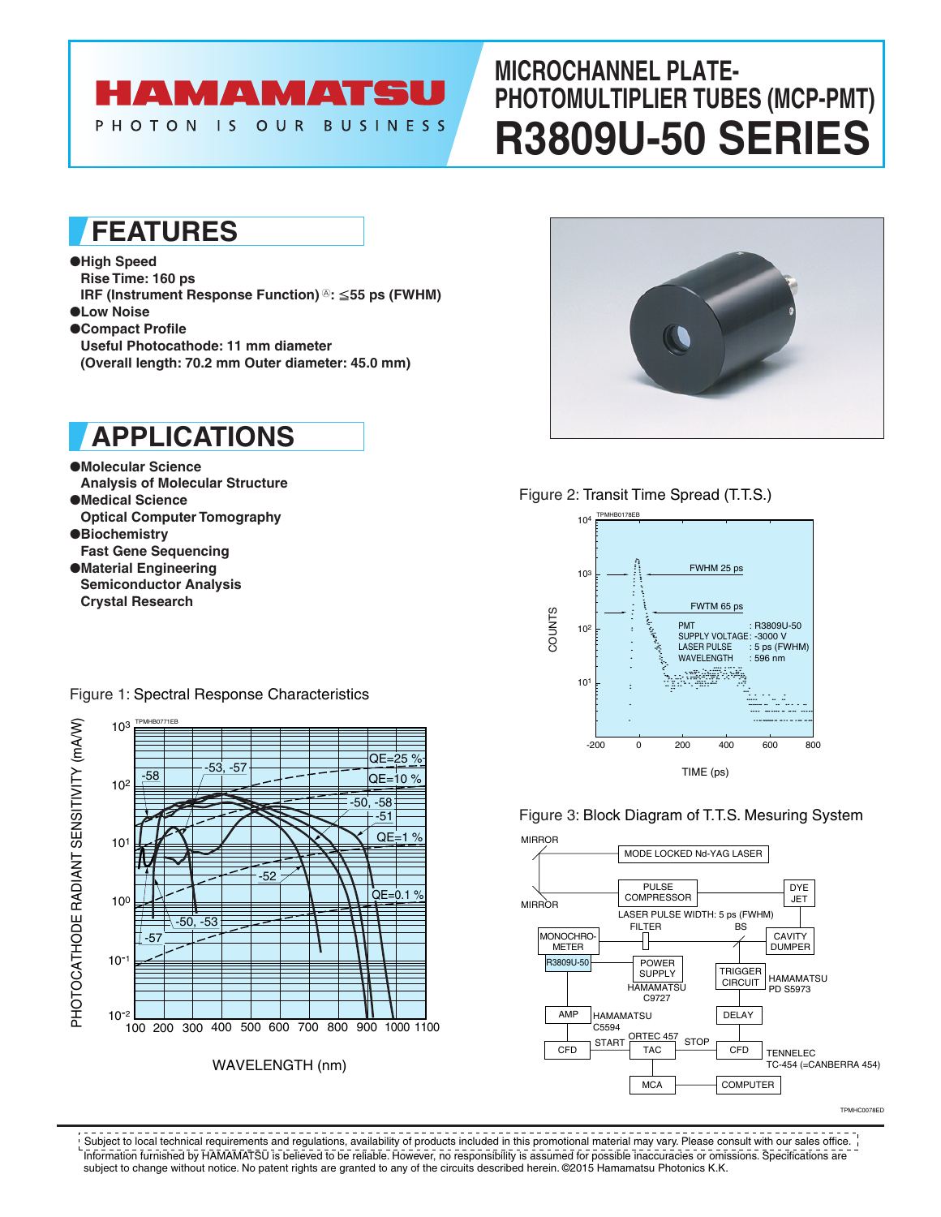

OUR

**BUSINESS** 

# **MICROCHANNEL PLATE-PHOTOMULTIPLIER TUBES (MCP-PMT) R3809U-50 SERIES**

# **FEATURES**

PHOTON IS

#### ●**High Speed**

- **Rise Time: 160 ps IRF (Instrument Response Function)**<sup>®</sup>: ≤55 ps (FWHM)
- ●**Low Noise**
- ●**Compact Profile Useful Photocathode: 11 mm diameter (Overall length: 70.2 mm Outer diameter: 45.0 mm)**

# **APPLICATIONS**

- ●**Molecular Science Analysis of Molecular Structure** ●**Medical Science**
- **Optical Computer Tomography**
- ●**Biochemistry Fast Gene Sequencing**
- ●**Material Engineering Semiconductor Analysis Crystal Research**



### Figure 2: Transit Time Spread (T.T.S.)



#### Figure 3: Block Diagram of T.T.S. Mesuring System



TPMHC0078ED

Information furnished by HAMAMATSU is believed to be reliable. However, no responsibility is assumed for possible inaccuracies or omissions. Specifications are subject to change without notice. No patent rights are granted to any of the circuits described herein. ©2015 Hamamatsu Photonics K.K. Subject to local technical requirements and regulations, availability of products included in this promotional material may vary. Please consult with our sales office.

Figure 1: Spectral Response Characteristics

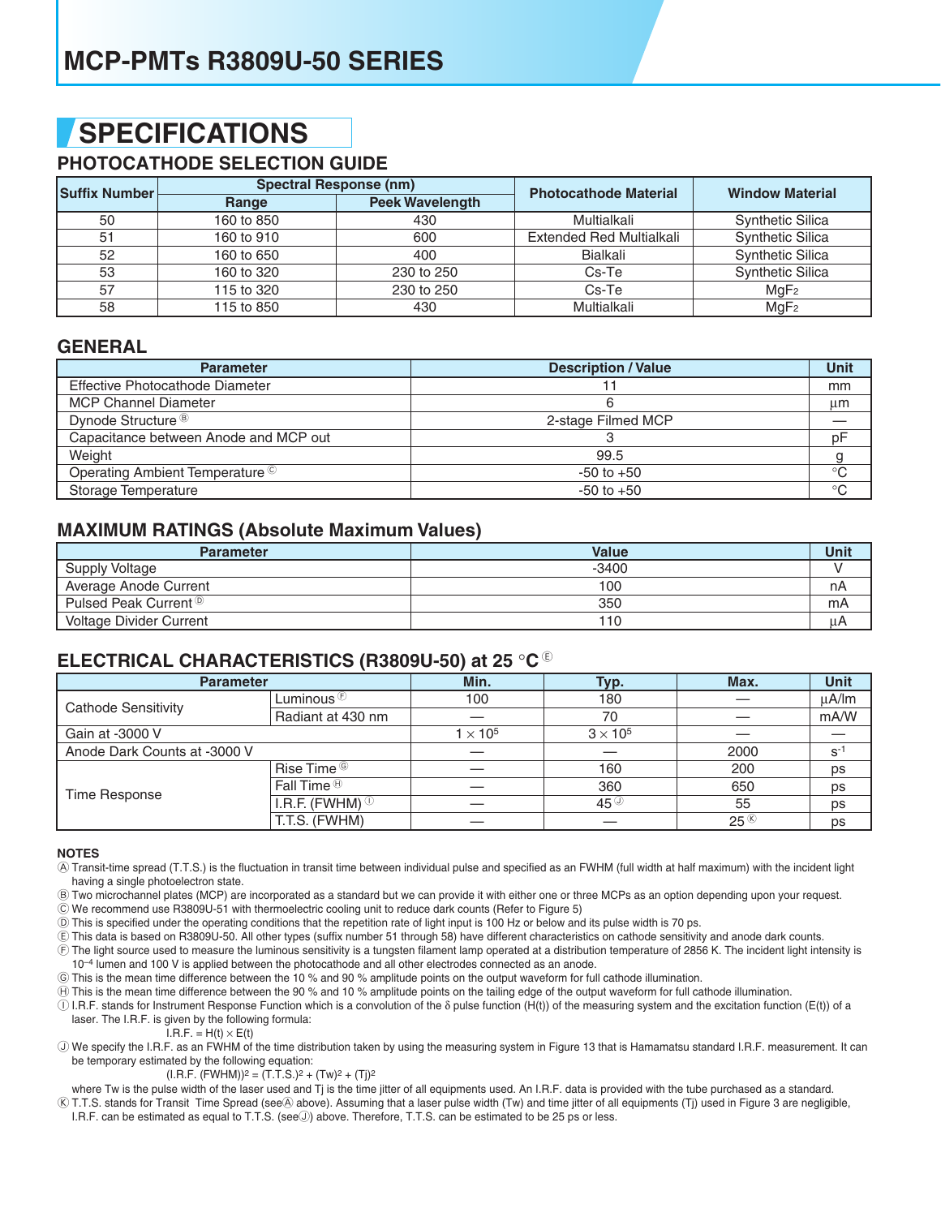# **SPECIFICATIONS**

### **PHOTOCATHODE SELECTION GUIDE**

| <b>Suffix Number</b>            | <b>Spectral Response (nm)</b> |            | <b>Photocathode Material</b>    | <b>Window Material</b>  |
|---------------------------------|-------------------------------|------------|---------------------------------|-------------------------|
| <b>Peek Wavelength</b><br>Range |                               |            |                                 |                         |
| 50                              | 160 to 850                    | 430        | Multialkali                     | <b>Synthetic Silica</b> |
| 51                              | 160 to 910                    | 600        | <b>Extended Red Multialkali</b> | <b>Synthetic Silica</b> |
| 52                              | 160 to 650                    | 400        | <b>Bialkali</b>                 | <b>Synthetic Silica</b> |
| 53                              | 160 to 320                    | 230 to 250 | $Cs$ -Te                        | <b>Synthetic Silica</b> |
| 57                              | 115 to 320                    | 230 to 250 | Cs-Te                           | MqF <sub>2</sub>        |
| 58                              | 115 to 850                    | 430        | Multialkali                     | MgF <sub>2</sub>        |

### **GENERAL**

| <b>Parameter</b>                      | <b>Description / Value</b> |             |
|---------------------------------------|----------------------------|-------------|
| Effective Photocathode Diameter       |                            | mm          |
| <b>MCP Channel Diameter</b>           |                            | μm          |
| Dynode Structure <sup>®</sup>         | 2-stage Filmed MCP         |             |
| Capacitance between Anode and MCP out |                            | pF          |
| Weight                                | 99.5                       |             |
| Operating Ambient Temperature ©       | $-50$ to $+50$             | $^{\circ}C$ |
| Storage Temperature                   | $-50$ to $+50$             | $^{\circ}C$ |

### **MAXIMUM RATINGS (Absolute Maximum Values)**

| <b>Parameter</b>                 | <b>Value</b> | Unit |
|----------------------------------|--------------|------|
| Supply Voltage                   | $-3400$      |      |
| Average Anode Current            | 100          | nA   |
| Pulsed Peak Current <sup>®</sup> | 350          | mA   |
| Voltage Divider Current          | 110          | uΑ   |

### **ELECTRICAL CHARACTERISTICS (R3809U-50) at 25** °**C** <sup>E</sup>

| <b>Parameter</b>             |                                   | Min.            | Typ.            | Max.            | <b>Unit</b> |
|------------------------------|-----------------------------------|-----------------|-----------------|-----------------|-------------|
| <b>Cathode Sensitivity</b>   | Luminous $\epsilon$               | 100             | 180             |                 | $\mu$ A/Im  |
|                              | Radiant at 430 nm                 |                 | 70              |                 | mA/W        |
| Gain at -3000 V              |                                   | $1 \times 10^5$ | $3 \times 10^5$ |                 |             |
| Anode Dark Counts at -3000 V |                                   |                 |                 | 2000            | $S-1$       |
|                              | Rise Time <sup>©</sup>            |                 | 160             | 200             | ps          |
| Time Response                | Fall Time $\overline{\mathbf{B}}$ |                 | 360             | 650             | ps          |
|                              | I.R.F. (FWHM) $\odot$             |                 | 45 $^{\circ}$   | 55              | ps          |
|                              | T.T.S. (FWHM)                     |                 |                 | 25 <sup>®</sup> | ps          |

#### **NOTES**

A Transit-time spread (T.T.S.) is the fluctuation in transit time between individual pulse and specified as an FWHM (full width at half maximum) with the incident light having a single photoelectron state.

B Two microchannel plates (MCP) are incorporated as a standard but we can provide it with either one or three MCPs as an option depending upon your request.

C We recommend use R3809U-51 with thermoelectric cooling unit to reduce dark counts (Refer to Figure 5)

D This is specified under the operating conditions that the repetition rate of light input is 100 Hz or below and its pulse width is 70 ps.

E This data is based on R3809U-50. All other types (suffix number 51 through 58) have different characteristics on cathode sensitivity and anode dark counts.

F The light source used to measure the luminous sensitivity is a tungsten filament lamp operated at a distribution temperature of 2856 K. The incident light intensity is 10<sup>-4</sup> lumen and 100 V is applied between the photocathode and all other electrodes connected as an anode.

G This is the mean time difference between the 10 % and 90 % amplitude points on the output waveform for full cathode illumination.

H This is the mean time difference between the 90 % and 10 % amplitude points on the tailing edge of the output waveform for full cathode illumination.

 $\overline{0}$  I.R.F. stands for Instrument Response Function which is a convolution of the  $\delta$  pulse function (H(t)) of the measuring system and the excitation function (E(t)) of a laser. The I.R.F. is given by the following formula:

 $I.R.F. = H(t) \times E(t)$ 

J We specify the I.R.F. as an FWHM of the time distribution taken by using the measuring system in Figure 13 that is Hamamatsu standard I.R.F. measurement. It can be temporary estimated by the following equation:

 $(I.R.F. (FWHM))^{2} = (T.T.S.)^{2} + (Tw)^{2} + (Tj)^{2}$ 

where Tw is the pulse width of the laser used and Ti is the time jitter of all equipments used. An I.R.F. data is provided with the tube purchased as a standard.

K T.T.S. stands for Transit Time Spread (seeA above). Assuming that a laser pulse width (Tw) and time jitter of all equipments (Tj) used in Figure 3 are negligible, I.R.F. can be estimated as equal to T.T.S. (see $\circledcirc$ ) above. Therefore, T.T.S. can be estimated to be 25 ps or less.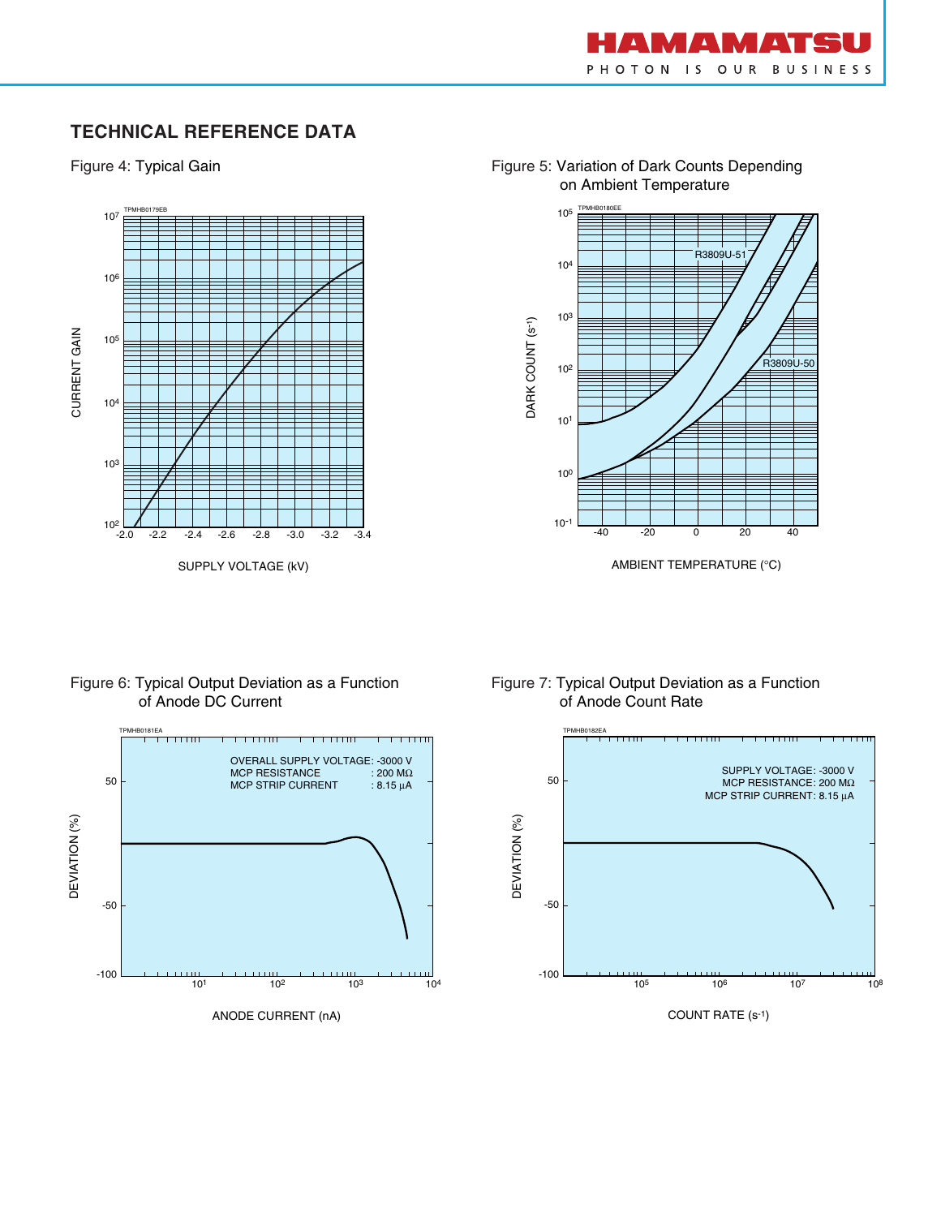

### **TECHNICAL REFERENCE DATA**



Figure 4: Typical Gain Figure 5: Variation of Dark Counts Depending on Ambient Temperature



AMBIENT TEMPERATURE (°C)

Figure 6: Typical Output Deviation as a Function of Anode DC Current



Figure 7: Typical Output Deviation as a Function of Anode Count Rate



COUNT RATE (s-1)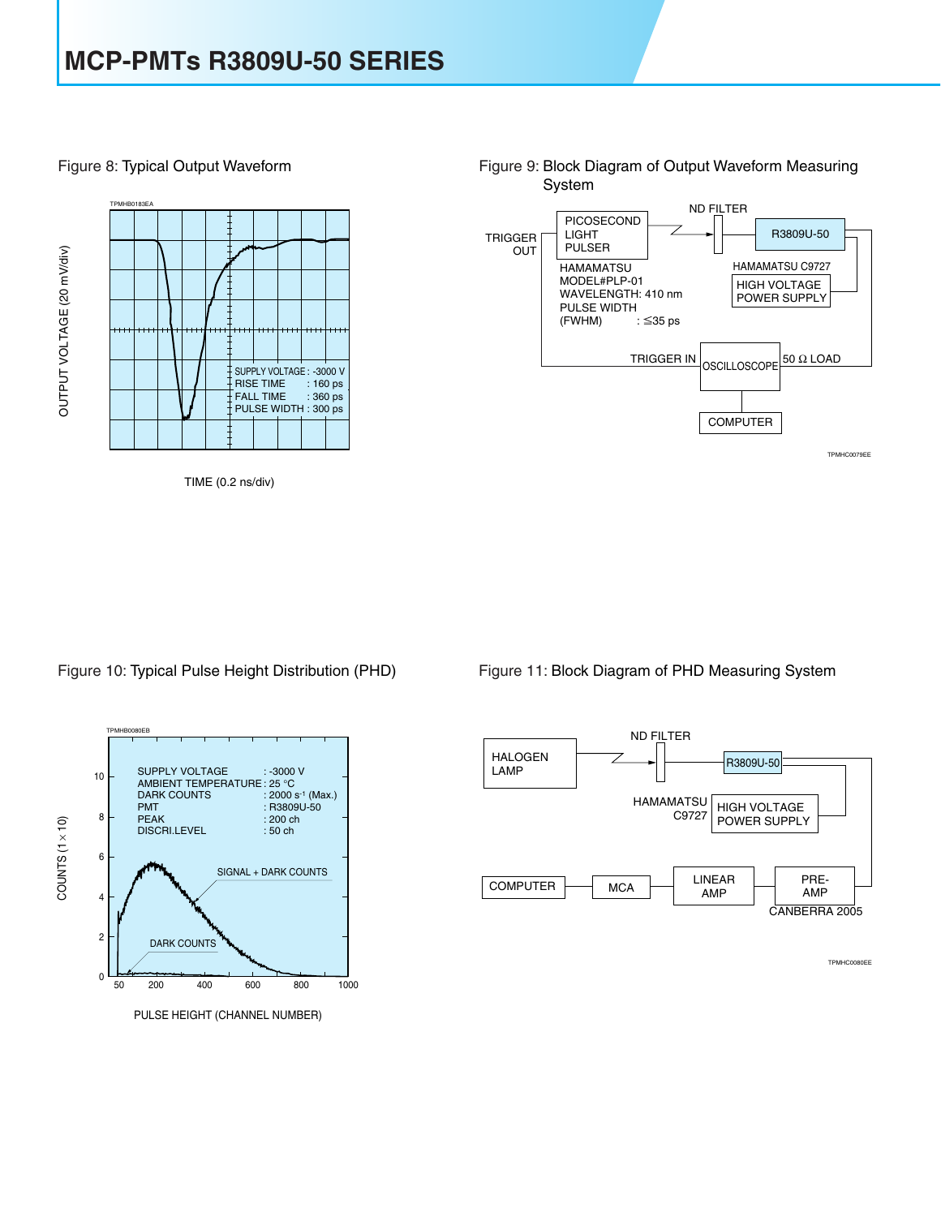#### Figure 8: Typical Output Waveform **Figure 9: Block Diagram of Output Waveform Measuring**



TIME (0.2 ns/div)



TPMHC0079EE

Figure 10: Typical Pulse Height Distribution (PHD) Figure 11: Block Diagram of PHD Measuring System





TPMHC0080EE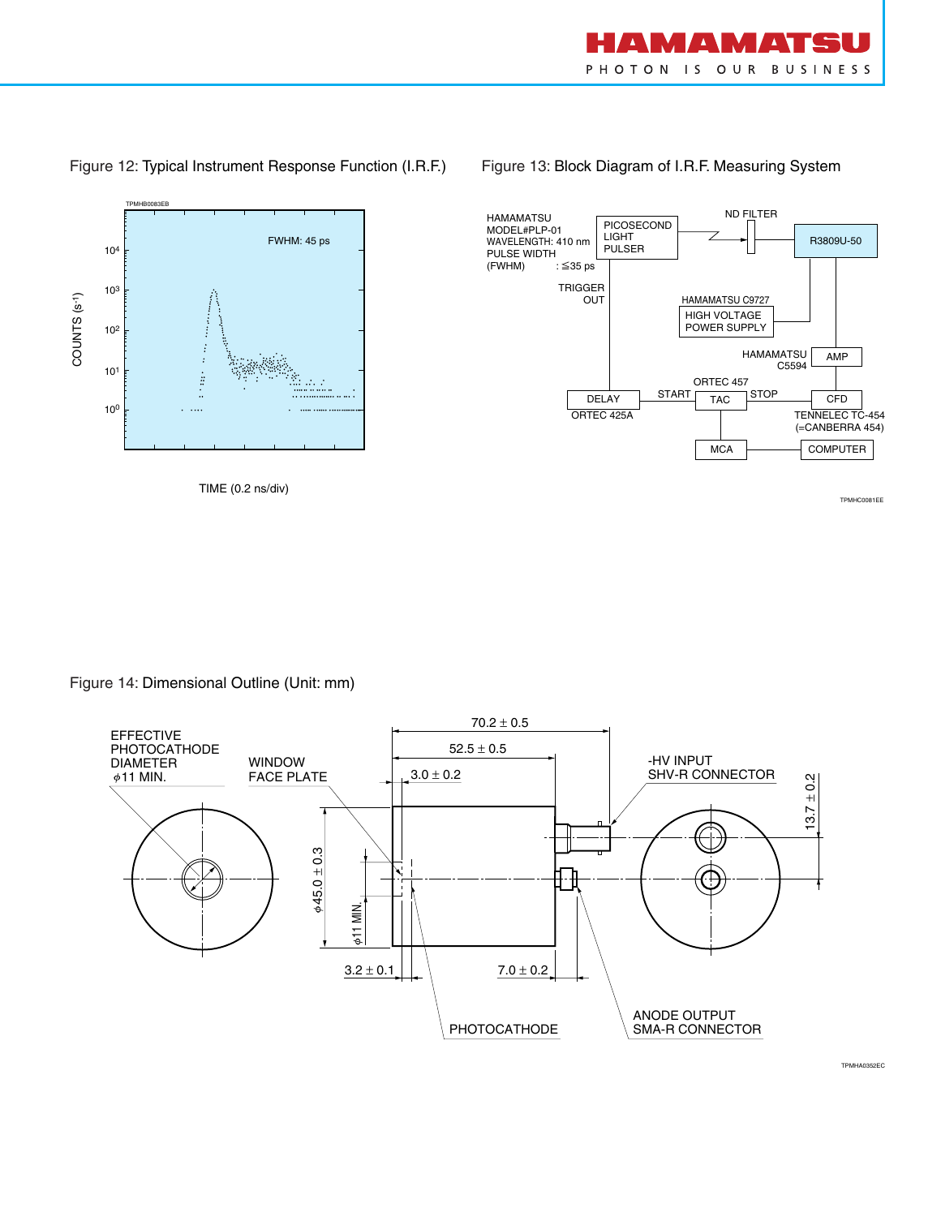

ND FILTER

HAMAMATSU C5594

HIGH VOLTAGE POWER SUPPLY

ORTEC 457<br> $T_{\text{FAO}}$  STOP

**MCA** 

START TAC

HAMAMATSU C9727

╭



PICOSECOND LIGHT PULSER

DELAY

TRIGGER OUT

HAMAMATSU MODEL#PLP-01 WAVELENGTH: 410 nm PULSE WIDTH  $(FWHM)$  :  $\leq$  35 ps

ORTEC 425A





TPMHC0081EE

COMPUTER

TENNELEC TC-454 (=CANBERRA 454)

CFD

AMP

R3809U-50

Figure 14: Dimensional Outline (Unit: mm)

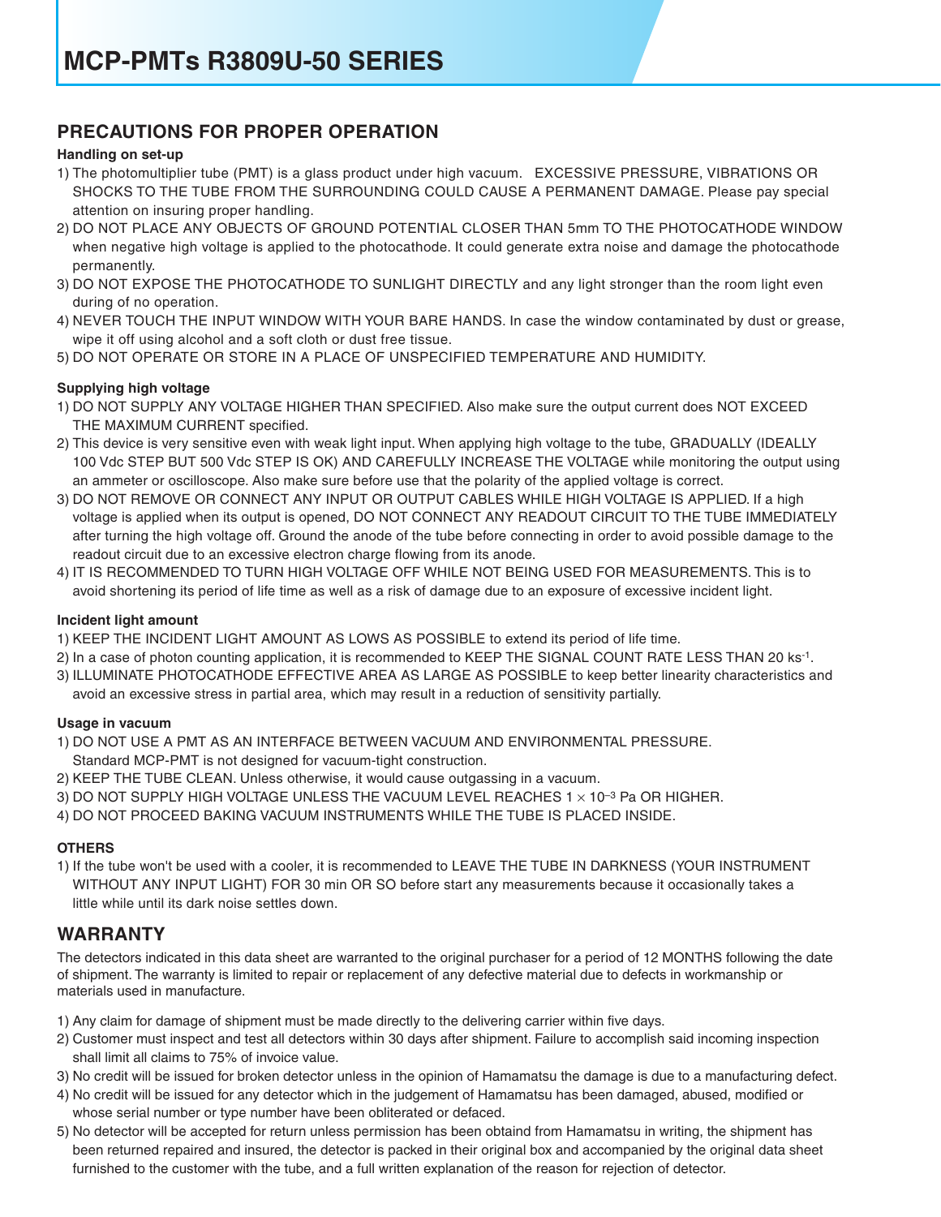## **PRECAUTIONS FOR PROPER OPERATION**

#### **Handling on set-up**

- 1) The photomultiplier tube (PMT) is a glass product under high vacuum. EXCESSIVE PRESSURE, VIBRATIONS OR SHOCKS TO THE TUBE FROM THE SURROUNDING COULD CAUSE A PERMANENT DAMAGE. Please pay special attention on insuring proper handling.
- 2) DO NOT PLACE ANY OBJECTS OF GROUND POTENTIAL CLOSER THAN 5mm TO THE PHOTOCATHODE WINDOW when negative high voltage is applied to the photocathode. It could generate extra noise and damage the photocathode permanently.
- 3) DO NOT EXPOSE THE PHOTOCATHODE TO SUNLIGHT DIRECTLY and any light stronger than the room light even during of no operation.
- 4) NEVER TOUCH THE INPUT WINDOW WITH YOUR BARE HANDS. In case the window contaminated by dust or grease, wipe it off using alcohol and a soft cloth or dust free tissue.
- 5) DO NOT OPERATE OR STORE IN A PLACE OF UNSPECIFIED TEMPERATURE AND HUMIDITY.

#### **Supplying high voltage**

- 1) DO NOT SUPPLY ANY VOLTAGE HIGHER THAN SPECIFIED. Also make sure the output current does NOT EXCEED THE MAXIMUM CURRENT specified.
- 2) This device is very sensitive even with weak light input. When applying high voltage to the tube, GRADUALLY (IDEALLY 100 Vdc STEP BUT 500 Vdc STEP IS OK) AND CAREFULLY INCREASE THE VOLTAGE while monitoring the output using an ammeter or oscilloscope. Also make sure before use that the polarity of the applied voltage is correct.
- 3) DO NOT REMOVE OR CONNECT ANY INPUT OR OUTPUT CABLES WHILE HIGH VOLTAGE IS APPLIED. If a high voltage is applied when its output is opened, DO NOT CONNECT ANY READOUT CIRCUIT TO THE TUBE IMMEDIATELY after turning the high voltage off. Ground the anode of the tube before connecting in order to avoid possible damage to the readout circuit due to an excessive electron charge flowing from its anode.
- 4) IT IS RECOMMENDED TO TURN HIGH VOLTAGE OFF WHILE NOT BEING USED FOR MEASUREMENTS. This is to avoid shortening its period of life time as well as a risk of damage due to an exposure of excessive incident light.

#### **Incident light amount**

- 1) KEEP THE INCIDENT LIGHT AMOUNT AS LOWS AS POSSIBLE to extend its period of life time.
- 2) In a case of photon counting application, it is recommended to KEEP THE SIGNAL COUNT RATE LESS THAN 20 ks-1.
- 3) ILLUMINATE PHOTOCATHODE EFFECTIVE AREA AS LARGE AS POSSIBLE to keep better linearity characteristics and avoid an excessive stress in partial area, which may result in a reduction of sensitivity partially.

#### **Usage in vacuum**

1) DO NOT USE A PMT AS AN INTERFACE BETWEEN VACUUM AND ENVIRONMENTAL PRESSURE. Standard MCP-PMT is not designed for vacuum-tight construction.

- 2) KEEP THE TUBE CLEAN. Unless otherwise, it would cause outgassing in a vacuum.
- 3) DO NOT SUPPLY HIGH VOLTAGE UNLESS THE VACUUM LEVEL REACHES 1 × 10–3 Pa OR HIGHER.
- 4) DO NOT PROCEED BAKING VACUUM INSTRUMENTS WHILE THE TUBE IS PLACED INSIDE.

#### **OTHERS**

1) If the tube won't be used with a cooler, it is recommended to LEAVE THE TUBE IN DARKNESS (YOUR INSTRUMENT WITHOUT ANY INPUT LIGHT) FOR 30 min OR SO before start any measurements because it occasionally takes a little while until its dark noise settles down.

### **WARRANTY**

The detectors indicated in this data sheet are warranted to the original purchaser for a period of 12 MONTHS following the date of shipment. The warranty is limited to repair or replacement of any defective material due to defects in workmanship or materials used in manufacture.

- 1) Any claim for damage of shipment must be made directly to the delivering carrier within five days.
- 2) Customer must inspect and test all detectors within 30 days after shipment. Failure to accomplish said incoming inspection shall limit all claims to 75% of invoice value.
- 3) No credit will be issued for broken detector unless in the opinion of Hamamatsu the damage is due to a manufacturing defect.
- 4) No credit will be issued for any detector which in the judgement of Hamamatsu has been damaged, abused, modified or whose serial number or type number have been obliterated or defaced.
- 5) No detector will be accepted for return unless permission has been obtaind from Hamamatsu in writing, the shipment has been returned repaired and insured, the detector is packed in their original box and accompanied by the original data sheet furnished to the customer with the tube, and a full written explanation of the reason for rejection of detector.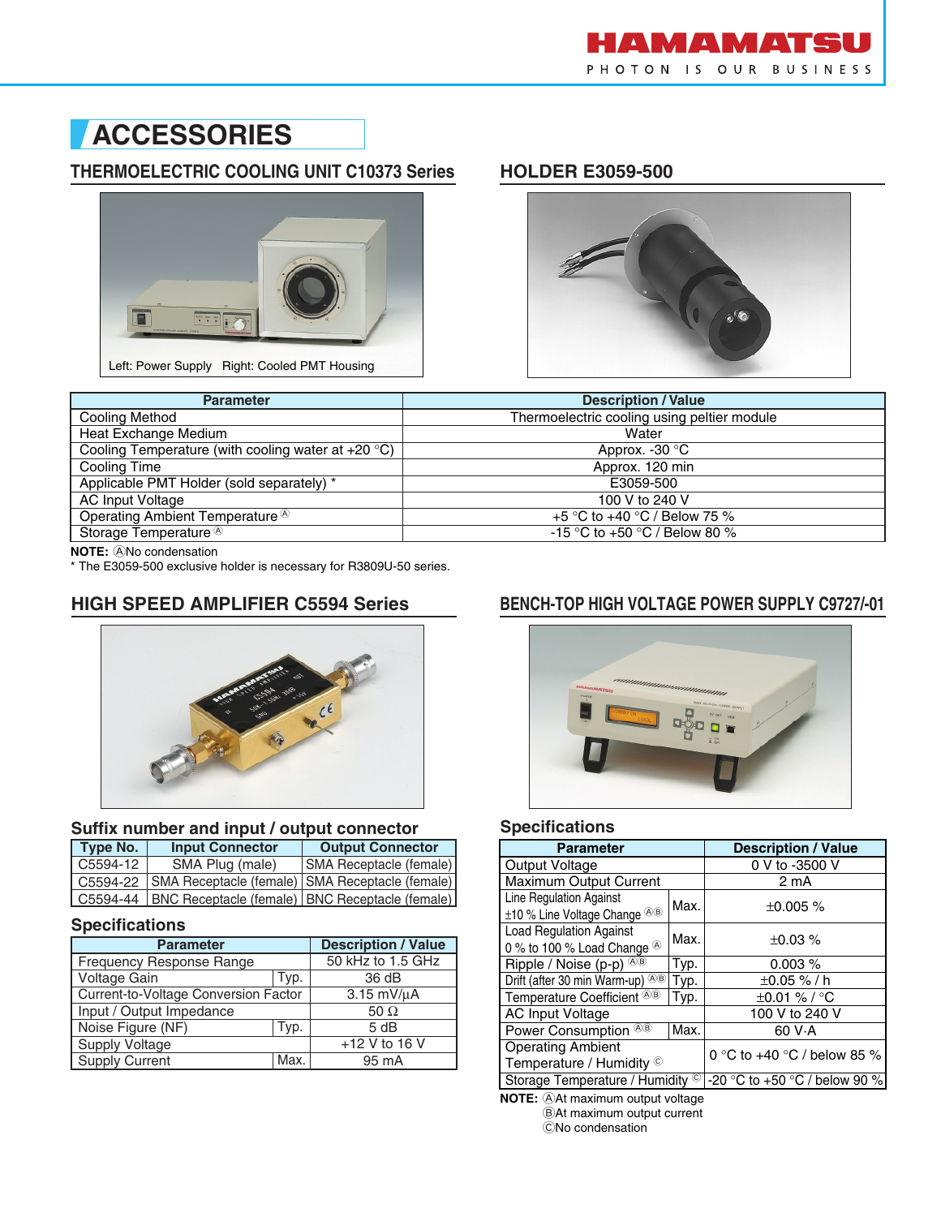



#### **THERMOELECTRIC COOLING UNIT C10373 Series HOLDER E3059-500**





| <b>Parameter</b>                                            | <b>Description / Value</b>                  |
|-------------------------------------------------------------|---------------------------------------------|
| Cooling Method                                              | Thermoelectric cooling using peltier module |
| Heat Exchange Medium                                        | Water                                       |
| Cooling Temperature (with cooling water at +20 $\degree$ C) | Approx. $-30$ °C                            |
| Cooling Time                                                | Approx. 120 min                             |
| Applicable PMT Holder (sold separately) *                   | E3059-500                                   |
| <b>AC Input Voltage</b>                                     | 100 V to 240 V                              |
| Operating Ambient Temperature <sup>®</sup>                  | +5 °C to +40 °C / Below 75 %                |
| Storage Temperature <sup>®</sup>                            | -15 °C to +50 °C / Below 80 %               |

**NOTE:** ANo condensation

\* The E3059-500 exclusive holder is necessary for R3809U-50 series.



#### **Suffix number and input / output connector**

| Type No.  | <b>Input Connector</b> | <b>Output Connector</b>                                      |
|-----------|------------------------|--------------------------------------------------------------|
| LC5594-12 | SMA Plug (male)        | SMA Receptacle (female)                                      |
|           |                        | C5594-22 SMA Receptacle (female) SMA Receptacle (female)     |
|           |                        | C5594-44   BNC Receptacle (female)   BNC Receptacle (female) |

#### **Specifications**

| <b>Parameter</b>                     | <b>Description / Value</b> |                    |
|--------------------------------------|----------------------------|--------------------|
| Frequency Response Range             |                            | 50 kHz to 1.5 GHz  |
| Voltage Gain                         | Typ.                       | 36 dB              |
| Current-to-Voltage Conversion Factor |                            | $3.15$ mV/ $\mu$ A |
| Input / Output Impedance             |                            | $50 \Omega$        |
| Noise Figure (NF)                    | Typ.                       | 5 dB               |
| <b>Supply Voltage</b>                |                            | $+12$ V to 16 V    |
| Supply Current                       | Max.                       | 95 mA              |

#### **HIGH SPEED AMPLIFIER C5594 Series BENCH-TOP HIGH VOLTAGE POWER SUPPLY C9727/-01**



#### **Specifications**

| <b>Parameter</b>                                         | <b>Description / Value</b> |                               |
|----------------------------------------------------------|----------------------------|-------------------------------|
| Output Voltage                                           | 0 V to -3500 V             |                               |
| Maximum Output Current                                   |                            | 2 mA                          |
| Line Regulation Against                                  | Max.                       |                               |
| $\pm$ 10 % Line Voltage Change $\textcircled{\tiny{AB}}$ |                            | ±0.005%                       |
| <b>Load Regulation Against</b>                           | Max.                       | $\pm 0.03 \%$                 |
| 0% to 100% Load Change <sup>®</sup>                      |                            |                               |
| Ripple / Noise (p-p) $\circledcirc$<br>Typ.              |                            | 0.003%                        |
| Drift (after 30 min Warm-up) <sup>®®</sup><br>Typ.       |                            | $\pm 0.05 \%$ / h             |
| Temperature Coefficient <sup>@®</sup><br>Typ.            |                            | $\pm 0.01 \%$ / °C            |
| <b>AC Input Voltage</b>                                  |                            | 100 V to 240 V                |
| Power Consumption <sup>AB</sup><br>Max.                  |                            | 60 V·A                        |
| <b>Operating Ambient</b>                                 |                            | 0 °C to +40 °C / below 85 %   |
| Temperature / Humidity $\circledcirc$                    |                            |                               |
| Storage Temperature / Humidity ©                         |                            | -20 °C to +50 °C / below 90 % |

**NOTE:** AAt maximum output voltage

 $B$ At maximum output current

CNo condensation